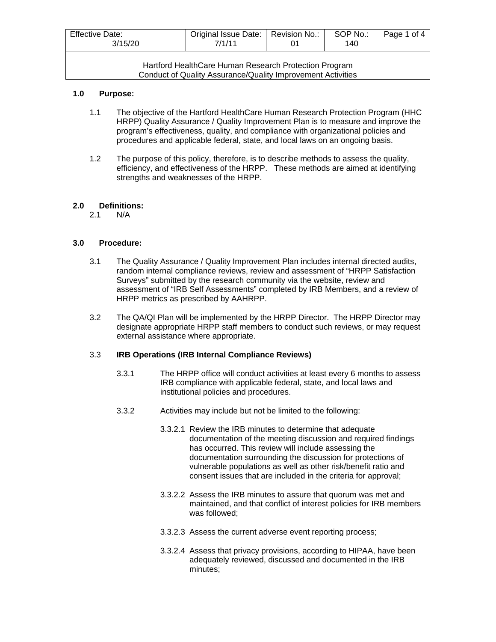| <b>Effective Date:</b><br>3/15/20                                                                                    | Original Issue Date:   Revision No.:<br>7/1/11 |  | SOP No.:<br>140 | Page 1 of 4 |
|----------------------------------------------------------------------------------------------------------------------|------------------------------------------------|--|-----------------|-------------|
| Hartford HealthCare Human Research Protection Program<br>Conduct of Quality Assurance/Quality Improvement Activities |                                                |  |                 |             |

#### **1.0 Purpose:**

- 1.1 The objective of the Hartford HealthCare Human Research Protection Program (HHC HRPP) Quality Assurance / Quality Improvement Plan is to measure and improve the program's effectiveness, quality, and compliance with organizational policies and procedures and applicable federal, state, and local laws on an ongoing basis.
- 1.2 The purpose of this policy, therefore, is to describe methods to assess the quality, efficiency, and effectiveness of the HRPP. These methods are aimed at identifying strengths and weaknesses of the HRPP.

# **2.0 Definitions:**

2.1 N/A

## **3.0 Procedure:**

- 3.1 The Quality Assurance / Quality Improvement Plan includes internal directed audits, random internal compliance reviews, review and assessment of "HRPP Satisfaction Surveys" submitted by the research community via the website, review and assessment of "IRB Self Assessments" completed by IRB Members, and a review of HRPP metrics as prescribed by AAHRPP.
- 3.2 The QA/QI Plan will be implemented by the HRPP Director. The HRPP Director may designate appropriate HRPP staff members to conduct such reviews, or may request external assistance where appropriate.

## 3.3 **IRB Operations (IRB Internal Compliance Reviews)**

- 3.3.1 The HRPP office will conduct activities at least every 6 months to assess IRB compliance with applicable federal, state, and local laws and institutional policies and procedures.
- 3.3.2 Activities may include but not be limited to the following:
	- 3.3.2.1 Review the IRB minutes to determine that adequate documentation of the meeting discussion and required findings has occurred. This review will include assessing the documentation surrounding the discussion for protections of vulnerable populations as well as other risk/benefit ratio and consent issues that are included in the criteria for approval;
	- 3.3.2.2 Assess the IRB minutes to assure that quorum was met and maintained, and that conflict of interest policies for IRB members was followed;
	- 3.3.2.3 Assess the current adverse event reporting process;
	- 3.3.2.4 Assess that privacy provisions, according to HIPAA, have been adequately reviewed, discussed and documented in the IRB minutes;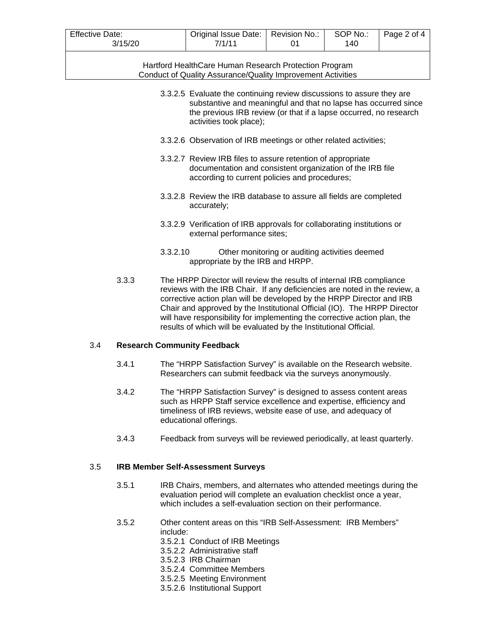| <b>Effective Date:</b><br>3/15/20 | Original Issue Date:   Revision No.:<br>7/1/11 | SOP No.:<br>140 | Page 2 of 4 |
|-----------------------------------|------------------------------------------------|-----------------|-------------|
|                                   |                                                |                 |             |

Hartford HealthCare Human Research Protection Program Conduct of Quality Assurance/Quality Improvement Activities

- 3.3.2.5 Evaluate the continuing review discussions to assure they are substantive and meaningful and that no lapse has occurred since the previous IRB review (or that if a lapse occurred, no research activities took place);
- 3.3.2.6 Observation of IRB meetings or other related activities;
- 3.3.2.7 Review IRB files to assure retention of appropriate documentation and consistent organization of the IRB file according to current policies and procedures;
- 3.3.2.8 Review the IRB database to assure all fields are completed accurately;
- 3.3.2.9 Verification of IRB approvals for collaborating institutions or external performance sites;
- 3.3.2.10 Other monitoring or auditing activities deemed appropriate by the IRB and HRPP.
- 3.3.3 The HRPP Director will review the results of internal IRB compliance reviews with the IRB Chair. If any deficiencies are noted in the review, a corrective action plan will be developed by the HRPP Director and IRB Chair and approved by the Institutional Official (IO). The HRPP Director will have responsibility for implementing the corrective action plan, the results of which will be evaluated by the Institutional Official.

#### 3.4 **Research Community Feedback**

- 3.4.1 The "HRPP Satisfaction Survey" is available on the Research website. Researchers can submit feedback via the surveys anonymously.
- 3.4.2 The "HRPP Satisfaction Survey" is designed to assess content areas such as HRPP Staff service excellence and expertise, efficiency and timeliness of IRB reviews, website ease of use, and adequacy of educational offerings.
- 3.4.3 Feedback from surveys will be reviewed periodically, at least quarterly.

#### 3.5 **IRB Member Self-Assessment Surveys**

- 3.5.1 IRB Chairs, members, and alternates who attended meetings during the evaluation period will complete an evaluation checklist once a year, which includes a self-evaluation section on their performance.
- 3.5.2 Other content areas on this "IRB Self-Assessment: IRB Members" include:
	- 3.5.2.1 Conduct of IRB Meetings
	- 3.5.2.2 Administrative staff
	- 3.5.2.3 IRB Chairman
	- 3.5.2.4 Committee Members
	- 3.5.2.5 Meeting Environment
	- 3.5.2.6 Institutional Support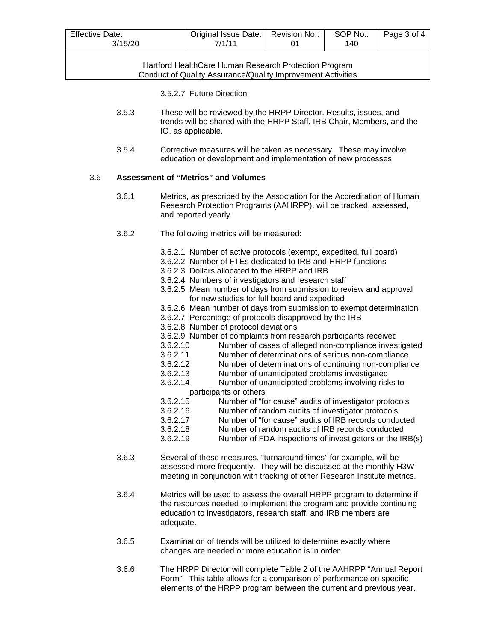| <b>Effective Date:</b><br>3/15/20 | Original Issue Date:   Revision No.:<br>7/1/11 | SOP No.:<br>140 | Page 3 of 4 |
|-----------------------------------|------------------------------------------------|-----------------|-------------|
|                                   |                                                |                 |             |

Hartford HealthCare Human Research Protection Program Conduct of Quality Assurance/Quality Improvement Activities

- 3.5.2.7 Future Direction
- 3.5.3 These will be reviewed by the HRPP Director. Results, issues, and trends will be shared with the HRPP Staff, IRB Chair, Members, and the IO, as applicable.
- 3.5.4 Corrective measures will be taken as necessary. These may involve education or development and implementation of new processes.

#### 3.6 **Assessment of "Metrics" and Volumes**

- 3.6.1 Metrics, as prescribed by the Association for the Accreditation of Human Research Protection Programs (AAHRPP), will be tracked, assessed, and reported yearly.
- 3.6.2 The following metrics will be measured:
	- 3.6.2.1 Number of active protocols (exempt, expedited, full board)
	- 3.6.2.2 Number of FTEs dedicated to IRB and HRPP functions
	- 3.6.2.3 Dollars allocated to the HRPP and IRB
	- 3.6.2.4 Numbers of investigators and research staff
	- 3.6.2.5 Mean number of days from submission to review and approval for new studies for full board and expedited
	- 3.6.2.6 Mean number of days from submission to exempt determination
	- 3.6.2.7 Percentage of protocols disapproved by the IRB
	- 3.6.2.8 Number of protocol deviations
	- 3.6.2.9 Number of complaints from research participants received
	- 3.6.2.10 Number of cases of alleged non-compliance investigated
	- Number of determinations of serious non-compliance
	- 3.6.2.12 Number of determinations of continuing non-compliance
	- 3.6.2.13 Number of unanticipated problems investigated
	- Number of unanticipated problems involving risks to
	- participants or others<br>3.6.2.15 Number of "fo
	- 3.6.2.15 Number of "for cause" audits of investigator protocols Number of random audits of investigator protocols
	- 3.6.2.17 Number of "for cause" audits of IRB records conducted
	- 3.6.2.18 Number of random audits of IRB records conducted
	- 3.6.2.19 Number of FDA inspections of investigators or the IRB(s)
- 3.6.3 Several of these measures, "turnaround times" for example, will be assessed more frequently. They will be discussed at the monthly H3W meeting in conjunction with tracking of other Research Institute metrics.
- 3.6.4 Metrics will be used to assess the overall HRPP program to determine if the resources needed to implement the program and provide continuing education to investigators, research staff, and IRB members are adequate.
- 3.6.5 Examination of trends will be utilized to determine exactly where changes are needed or more education is in order.
- 3.6.6 The HRPP Director will complete Table 2 of the AAHRPP "Annual Report Form". This table allows for a comparison of performance on specific elements of the HRPP program between the current and previous year.